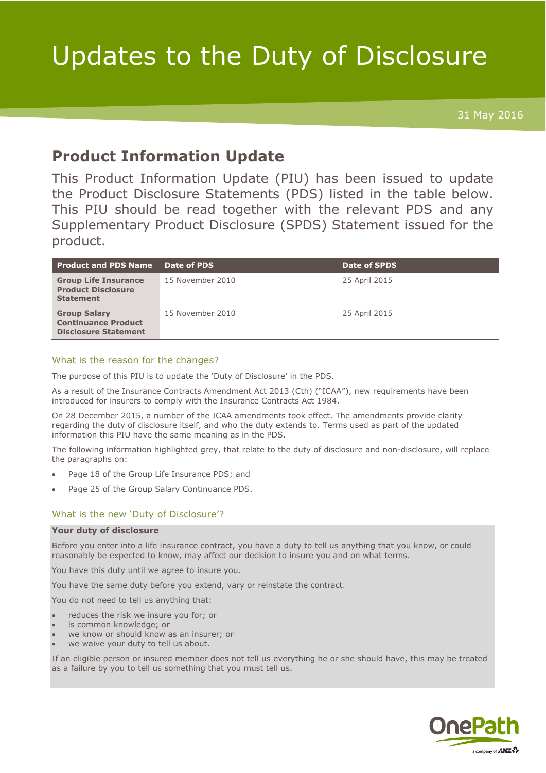# Updates to the Duty of Disclosure

31 May 2016

# **Product Information Update**

This Product Information Update (PIU) has been issued to update the Product Disclosure Statements (PDS) listed in the table below. This PIU should be read together with the relevant PDS and any Supplementary Product Disclosure (SPDS) Statement issued for the product.

| <b>Product and PDS Name</b>                                                      | Date of PDS      | <b>Date of SPDS</b> |
|----------------------------------------------------------------------------------|------------------|---------------------|
| <b>Group Life Insurance</b><br><b>Product Disclosure</b><br><b>Statement</b>     | 15 November 2010 | 25 April 2015       |
| <b>Group Salary</b><br><b>Continuance Product</b><br><b>Disclosure Statement</b> | 15 November 2010 | 25 April 2015       |

## What is the reason for the changes?

The purpose of this PIU is to update the 'Duty of Disclosure' in the PDS.

As a result of the Insurance Contracts Amendment Act 2013 (Cth) ("ICAA"), new requirements have been introduced for insurers to comply with the Insurance Contracts Act 1984.

On 28 December 2015, a number of the ICAA amendments took effect. The amendments provide clarity regarding the duty of disclosure itself, and who the duty extends to. Terms used as part of the updated information this PIU have the same meaning as in the PDS.

The following information highlighted grey, that relate to the duty of disclosure and non-disclosure, will replace the paragraphs on:

- Page 18 of the Group Life Insurance PDS; and
- Page 25 of the Group Salary Continuance PDS.

### What is the new 'Duty of Disclosure'?

#### **Your duty of disclosure**

Before you enter into a life insurance contract, you have a duty to tell us anything that you know, or could reasonably be expected to know, may affect our decision to insure you and on what terms.

You have this duty until we agree to insure you.

You have the same duty before you extend, vary or reinstate the contract.

You do not need to tell us anything that:

- reduces the risk we insure you for; or
- is common knowledge; or
- we know or should know as an insurer; or
- we waive your duty to tell us about.

If an eligible person or insured member does not tell us everything he or she should have, this may be treated as a failure by you to tell us something that you must tell us.